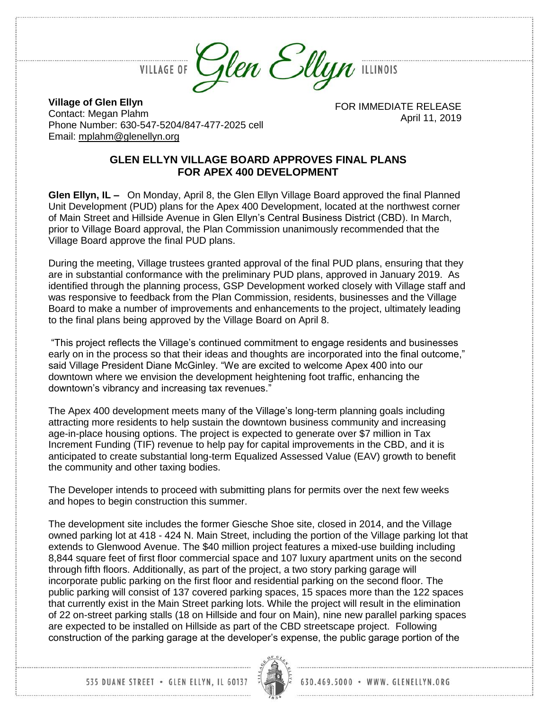**VILLAGE OF** 



**Village of Glen Ellyn** Contact: Megan Plahm Phone Number: 630-547-5204/847-477-2025 cell Email: [mplahm@glenellyn.org](mailto:mplahm@glenellyn.org)

FOR IMMEDIATE RELEASE April 11, 2019

## **GLEN ELLYN VILLAGE BOARD APPROVES FINAL PLANS FOR APEX 400 DEVELOPMENT**

**Glen Ellyn, IL –** On Monday, April 8, the Glen Ellyn Village Board approved the final Planned Unit Development (PUD) plans for the Apex 400 Development, located at the northwest corner of Main Street and Hillside Avenue in Glen Ellyn's Central Business District (CBD). In March, prior to Village Board approval, the Plan Commission unanimously recommended that the Village Board approve the final PUD plans.

During the meeting, Village trustees granted approval of the final PUD plans, ensuring that they are in substantial conformance with the preliminary PUD plans, approved in January 2019. As identified through the planning process, GSP Development worked closely with Village staff and was responsive to feedback from the Plan Commission, residents, businesses and the Village Board to make a number of improvements and enhancements to the project, ultimately leading to the final plans being approved by the Village Board on April 8.

"This project reflects the Village's continued commitment to engage residents and businesses early on in the process so that their ideas and thoughts are incorporated into the final outcome," said Village President Diane McGinley. "We are excited to welcome Apex 400 into our downtown where we envision the development heightening foot traffic, enhancing the downtown's vibrancy and increasing tax revenues."

The Apex 400 development meets many of the Village's long-term planning goals including attracting more residents to help sustain the downtown business community and increasing age-in-place housing options. The project is expected to generate over \$7 million in Tax Increment Funding (TIF) revenue to help pay for capital improvements in the CBD, and it is anticipated to create substantial long-term Equalized Assessed Value (EAV) growth to benefit the community and other taxing bodies.

The Developer intends to proceed with submitting plans for permits over the next few weeks and hopes to begin construction this summer.

The development site includes the former Giesche Shoe site, closed in 2014, and the Village owned parking lot at 418 - 424 N. Main Street, including the portion of the Village parking lot that extends to Glenwood Avenue. The \$40 million project features a mixed-use building including 8,844 square feet of first floor commercial space and 107 luxury apartment units on the second through fifth floors. Additionally, as part of the project, a two story parking garage will incorporate public parking on the first floor and residential parking on the second floor. The public parking will consist of 137 covered parking spaces, 15 spaces more than the 122 spaces that currently exist in the Main Street parking lots. While the project will result in the elimination of 22 on-street parking stalls (18 on Hillside and four on Main), nine new parallel parking spaces are expected to be installed on Hillside as part of the CBD streetscape project. Following construction of the parking garage at the developer's expense, the public garage portion of the